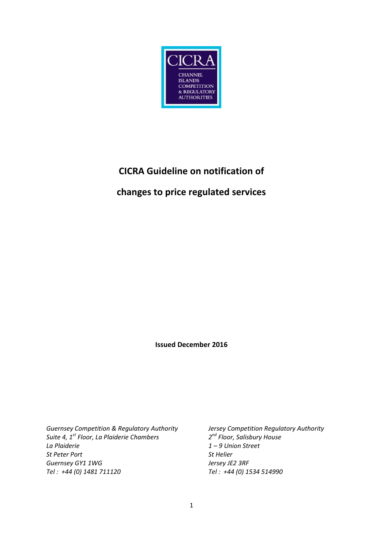

# **CICRA Guideline on notification of**

## **changes to price regulated services**

**Issued December 2016**

*Guernsey Competition & Regulatory Authority Jersey Competition Regulatory Authority Suite 4, 1st Floor, La Plaiderie Chambers 2 La Plaiderie 1 – 9 Union Street St Peter Port St Helier Guernsey GY1 1WG Jersey JE2 3RF Tel : +44 (0) 1481 711120 Tel : +44 (0) 1534 514990*

*nd Floor, Salisbury House*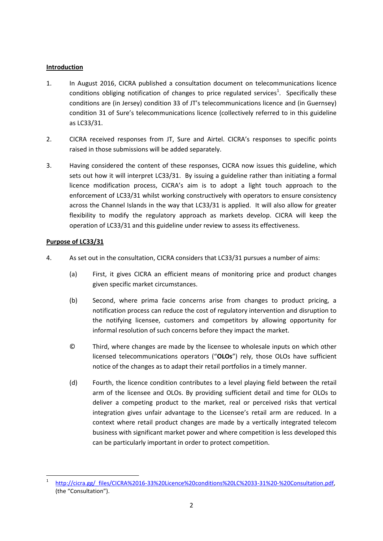#### **Introduction**

- 1. In August 2016, CICRA published a consultation document on telecommunications licence conditions obliging notification of changes to price regulated services<sup>1</sup>. Specifically these conditions are (in Jersey) condition 33 of JT's telecommunications licence and (in Guernsey) condition 31 of Sure's telecommunications licence (collectively referred to in this guideline as LC33/31.
- 2. CICRA received responses from JT, Sure and Airtel. CICRA's responses to specific points raised in those submissions will be added separately.
- 3. Having considered the content of these responses, CICRA now issues this guideline, which sets out how it will interpret LC33/31. By issuing a guideline rather than initiating a formal licence modification process, CICRA's aim is to adopt a light touch approach to the enforcement of LC33/31 whilst working constructively with operators to ensure consistency across the Channel Islands in the way that LC33/31 is applied. It will also allow for greater flexibility to modify the regulatory approach as markets develop. CICRA will keep the operation of LC33/31 and this guideline under review to assess its effectiveness.

#### **Purpose of LC33/31**

1

- 4. As set out in the consultation, CICRA considers that LC33/31 pursues a number of aims:
	- (a) First, it gives CICRA an efficient means of monitoring price and product changes given specific market circumstances.
	- (b) Second, where prima facie concerns arise from changes to product pricing, a notification process can reduce the cost of regulatory intervention and disruption to the notifying licensee, customers and competitors by allowing opportunity for informal resolution of such concerns before they impact the market.
	- © Third, where changes are made by the licensee to wholesale inputs on which other licensed telecommunications operators ("**OLOs**") rely, those OLOs have sufficient notice of the changes as to adapt their retail portfolios in a timely manner.
	- (d) Fourth, the licence condition contributes to a level playing field between the retail arm of the licensee and OLOs. By providing sufficient detail and time for OLOs to deliver a competing product to the market, real or perceived risks that vertical integration gives unfair advantage to the Licensee's retail arm are reduced. In a context where retail product changes are made by a vertically integrated telecom business with significant market power and where competition is less developed this can be particularly important in order to protect competition.

<sup>1</sup> [http://cicra.gg/\\_files/CICRA%2016-33%20Licence%20conditions%20LC%2033-31%20-%20Consultation.pdf,](http://cicra.gg/_files/CICRA%2016-33%20Licence%20conditions%20LC%2033-31%20-%20Consultation.pdf) (the "Consultation").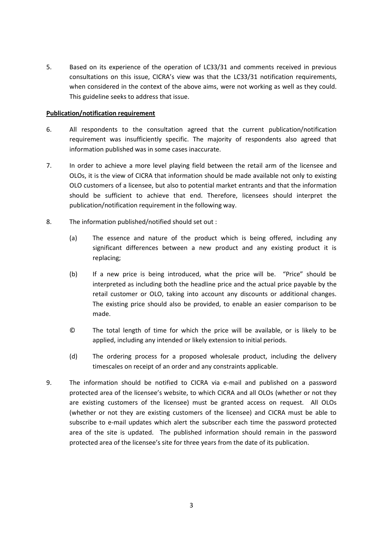5. Based on its experience of the operation of LC33/31 and comments received in previous consultations on this issue, CICRA's view was that the LC33/31 notification requirements, when considered in the context of the above aims, were not working as well as they could. This guideline seeks to address that issue.

#### **Publication/notification requirement**

- 6. All respondents to the consultation agreed that the current publication/notification requirement was insufficiently specific. The majority of respondents also agreed that information published was in some cases inaccurate.
- 7. In order to achieve a more level playing field between the retail arm of the licensee and OLOs, it is the view of CICRA that information should be made available not only to existing OLO customers of a licensee, but also to potential market entrants and that the information should be sufficient to achieve that end. Therefore, licensees should interpret the publication/notification requirement in the following way.
- 8. The information published/notified should set out :
	- (a) The essence and nature of the product which is being offered, including any significant differences between a new product and any existing product it is replacing;
	- (b) If a new price is being introduced, what the price will be. "Price" should be interpreted as including both the headline price and the actual price payable by the retail customer or OLO, taking into account any discounts or additional changes. The existing price should also be provided, to enable an easier comparison to be made.
	- © The total length of time for which the price will be available, or is likely to be applied, including any intended or likely extension to initial periods.
	- (d) The ordering process for a proposed wholesale product, including the delivery timescales on receipt of an order and any constraints applicable.
- 9. The information should be notified to CICRA via e-mail and published on a password protected area of the licensee's website, to which CICRA and all OLOs (whether or not they are existing customers of the licensee) must be granted access on request. All OLOs (whether or not they are existing customers of the licensee) and CICRA must be able to subscribe to e-mail updates which alert the subscriber each time the password protected area of the site is updated. The published information should remain in the password protected area of the licensee's site for three years from the date of its publication.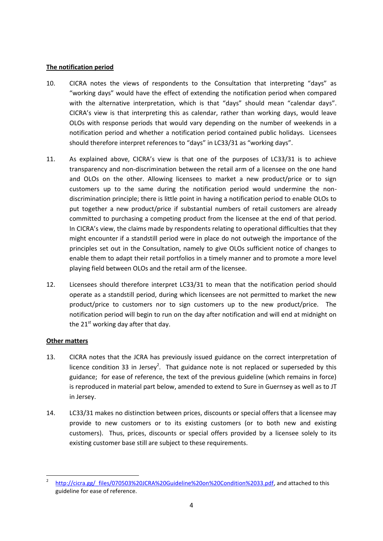#### **The notification period**

- 10. CICRA notes the views of respondents to the Consultation that interpreting "days" as "working days" would have the effect of extending the notification period when compared with the alternative interpretation, which is that "days" should mean "calendar days". CICRA's view is that interpreting this as calendar, rather than working days, would leave OLOs with response periods that would vary depending on the number of weekends in a notification period and whether a notification period contained public holidays. Licensees should therefore interpret references to "days" in LC33/31 as "working days".
- 11. As explained above, CICRA's view is that one of the purposes of LC33/31 is to achieve transparency and non-discrimination between the retail arm of a licensee on the one hand and OLOs on the other. Allowing licensees to market a new product/price or to sign customers up to the same during the notification period would undermine the nondiscrimination principle; there is little point in having a notification period to enable OLOs to put together a new product/price if substantial numbers of retail customers are already committed to purchasing a competing product from the licensee at the end of that period. In CICRA's view, the claims made by respondents relating to operational difficulties that they might encounter if a standstill period were in place do not outweigh the importance of the principles set out in the Consultation, namely to give OLOs sufficient notice of changes to enable them to adapt their retail portfolios in a timely manner and to promote a more level playing field between OLOs and the retail arm of the licensee.
- 12. Licensees should therefore interpret LC33/31 to mean that the notification period should operate as a standstill period, during which licensees are not permitted to market the new product/price to customers nor to sign customers up to the new product/price. The notification period will begin to run on the day after notification and will end at midnight on the  $21^{st}$  working day after that day.

### **Other matters**

- 13. CICRA notes that the JCRA has previously issued guidance on the correct interpretation of licence condition 33 in Jersey<sup>2</sup>. That guidance note is not replaced or superseded by this guidance; for ease of reference, the text of the previous guideline (which remains in force) is reproduced in material part below, amended to extend to Sure in Guernsey as well as to JT in Jersey.
- 14. LC33/31 makes no distinction between prices, discounts or special offers that a licensee may provide to new customers or to its existing customers (or to both new and existing customers). Thus, prices, discounts or special offers provided by a licensee solely to its existing customer base still are subject to these requirements.

<sup>1</sup> 2 [http://cicra.gg/\\_files/070503%20JCRA%20Guideline%20on%20Condition%2033.pdf,](http://cicra.gg/_files/070503%20JCRA%20Guideline%20on%20Condition%2033.pdf) and attached to this guideline for ease of reference.